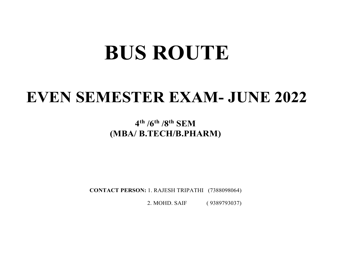# BUS ROUTE

# EVEN SEMESTER EXAM- JUNE 2022

 $4^{\text{th}}$  /6<sup>th</sup> /8<sup>th</sup> SEM (MBA/ B.TECH/B.PHARM)

CONTACT PERSON: 1. RAJESH TRIPATHI (7388098064)

2. MOHD. SAIF ( 9389793037)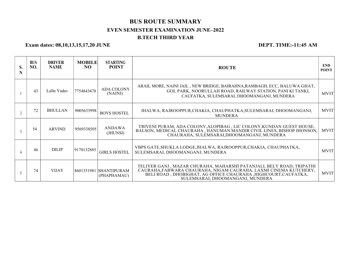### BUS ROUTE SUMMARY EVEN SEMESTER EXAMINATION JUNE–2022 B.TECH THIRD YEAR

Exam dates: 08,10,13,15,17,20 JUNE DEPT. TIME:-11:45 AM

| S. | <b>BUS</b><br>NO. | <b>DRIVER</b><br><b>NAME</b> | <b>MOBILE</b><br>NO. | <b>STARTING</b><br><b>POINT</b>       | <b>ROUTE</b>                                                                                                                                                                                                                                   | <b>END</b><br><b>POINT</b> |
|----|-------------------|------------------------------|----------------------|---------------------------------------|------------------------------------------------------------------------------------------------------------------------------------------------------------------------------------------------------------------------------------------------|----------------------------|
|    | 43                | Lallu Yadav                  | 7754843478           | <b>ADA COLONY</b><br>(NAINI)          | ARAIL MORE, NAINI JAIL, NEW BRIDGE, BAIRAHNA, RAMBAGH, ECC, BALUWA GHAT,<br>GOL PARK, NOORULLAH ROAD, RAILWAY STATION, PANI KI TANKI,<br>CAUFATKA, SULEMSARAI, DHOOMANGANJ, MUNDERA                                                            | <b>MVIT</b>                |
|    | 72                | <b>BHULLAN</b>               | 9005633998           | <b>BOYS HOSTEL</b>                    | JHALWA, RAJROOPPUR, CHAKIA, CHAUPHATKA, SULEMSARAI, DHOOMANGANJ,<br><b>MUNDERA</b>                                                                                                                                                             | <b>MVIT</b>                |
|    | 54                | <b>ARVIND</b>                | 9569338505           | <b>ANDAWA</b><br>(JHUNSI)             | TRIVENI PURAM, ADA COLONY, ALOPIBAG, LIC COLONY, KUNDAN GUEST HOUSE,<br>BALSON, MEDICAL CHAURAHA, HANUMAN MANDIR CIVIL LINES, BISHOP JHONSON,<br>CHAURAHA, SULEMSARAI, DHOOMANGANJ, MUNDERA                                                    | <b>MVIT</b>                |
|    | 46                | <b>DILIP</b>                 | 9170132885           | <b>GIRLS HOSTEL</b>                   | VBPS GATE, SHUKLA LODGE, JHALWA, RAJROOPPUR, CHAKIA, CHAUPHATKA,<br>SULEMSARAI, DHOOMANGANJ, MUNDERA                                                                                                                                           | <b>MVIT</b>                |
|    | 74                | <b>VIJAY</b>                 |                      | 8601351981 SHANTIPURAM<br>(PHAPHAMAU) | TELIYER GANJ, MAZAR CHURAHA, MAHARSHI PATANJALI, BELY ROAD, TRIPATHI<br>CAURAHA, FABWARA CHAURAHA, NIGAM CAURAHA, LAXMI CINEMA KUTCHERY,<br>BELI RÓAD, DHOBIGHAT, AG ÓFFICE CHAURAHA, HIGHCOURT, CAUFATKA,<br>SULEMSARAI, DHOOMANGANJ, MUNDERA | <b>MVIT</b>                |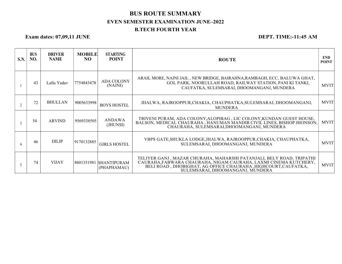## BUS ROUTE SUMMARY EVEN SEMESTER EXAMINATION JUNE–2022 B.TECH FOURTH YEAR

### Exam dates: 07,09,11 JUNE DEPT. TIME:-11:45 AM

| S.N. | <b>BUS</b><br>NO. | <b>DRIVER</b><br><b>NAME</b> | <b>MOBILE</b><br>NO. | <b>STARTING</b><br><b>POINT</b>       | <b>ROUTE</b>                                                                                                                                                                                                                                   | <b>END</b><br><b>POINT</b> |
|------|-------------------|------------------------------|----------------------|---------------------------------------|------------------------------------------------------------------------------------------------------------------------------------------------------------------------------------------------------------------------------------------------|----------------------------|
|      | 43                | Lallu Yadav                  | 7754843478           | <b>ADA COLONY</b><br>(NAINI)          | ARAIL MORE, NAINI JAIL, NEW BRIDGE, BAIRAHNA, RAMBAGH, ECC, BALUWA GHAT,<br>GOL PARK, NOORULLAH ROAD, RAILWAY STATION, PANI KI TANKI,<br>CAUFATKA, SULEMSARAI, DHOOMANGANJ, MUNDERA                                                            | <b>MVIT</b>                |
|      | 72                | <b>BHULLAN</b>               | 9005633998           | <b>BOYS HOSTEL</b>                    | JHALWA, RAJROOPPUR, CHAKIA, CHAUPHATKA, SULEMSARAI, DHOOMANGANJ,<br>MUNDERA                                                                                                                                                                    | <b>MVIT</b>                |
|      | 54                | <b>ARVIND</b>                | 9569338505           | <b>ANDAWA</b><br>(JHUNSI)             | TRIVENI PURAM, ADA COLONY, ALOPIBAG, LIC COLONY, KUNDAN GUEST HOUSE,<br>BALSON, MEDICAL CHAURAHA, HANUMAN MANDIR CIVIL LINES, BISHOP JHONSON,<br>CHAURAHA, SULEMSARAI, DHOOMANGANJ, MUNDERA                                                    | <b>MVIT</b>                |
|      | 46                | <b>DILIP</b>                 | 9170132885           | <b>GIRLS HOSTEL</b>                   | VBPS GATE, SHUKLA LODGE, JHALWA, RAJROOPPUR, CHAKIA, CHAUPHATKA,<br>SULEMSARAI, DHOOMANGANJ, MUNDERA                                                                                                                                           | <b>MVIT</b>                |
|      | 74                | <b>VIJAY</b>                 |                      | 8601351981 SHANTIPURAM<br>(PHAPHAMAU) | TELIYER GANJ, MAZAR CHURAHA, MAHARSHI PATANJALI, BELY ROAD, TRIPATHI<br>CAURAHA, FABWARA CHAURAHA, NIGAM CAURAHA, LAXMI CINEMA KUTCHERY,<br>BELI ROAD, DHOBIGHAT, AG OFFICE CHAURAHA, HIGHCOURT, CAUFATKA,<br>SULEMSARAI, DHOOMANGANJ, MUNDERA | <b>MVIT</b>                |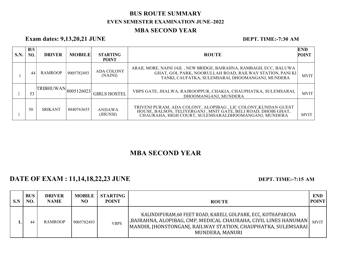# BUS ROUTE SUMMARY EVEN SEMESTER EXAMINATION JUNE–2022

### MBA SECOND YEAR

### Exam dates: 9,13,20,21 JUNE DEPT. TIME:-7:30 AM

| <b>S.N.</b> | <b>BUS</b><br><b>NO.</b> | <b>DRIVER</b>                                            | <b>MOBILE</b> | <b>STARTING</b><br><b>POINT</b> | <b>ROUTE</b>                                                                                                                                                                             | <b>END</b><br><b>POINT</b> |
|-------------|--------------------------|----------------------------------------------------------|---------------|---------------------------------|------------------------------------------------------------------------------------------------------------------------------------------------------------------------------------------|----------------------------|
|             | 44                       | RAMROOP                                                  | 9005782493    | <b>ADA COLONY</b><br>(NAINI)    | ARAIL MORE, NAINI JAIL, NEW BRIDGE, BAIRAHNA, RAMBAGH, ECC, BALUWA<br>GHAT, GOL PARK, NOORULLAH ROAD, RAILWAY STATION, PANI KI<br>TANKI, CAUFATKA, SULEMSARAI, DHOOMANGANJ, MUNDERA      | <b>MVIT</b>                |
|             | 53                       | $\label{thm:TRIBHUWAN}  \text{TRIBHUWAN} _{8005126023} $ |               | <b>GIRLS HOSTEL</b>             | VBPS GATE, JHALWA, RAJROOPPUR, CHAKIA, CHAUPHATKA, SULEMSARAI,<br>DHOOMANGANJ, MUNDERA                                                                                                   | <b>MVIT</b>                |
|             | 50                       | <b>SRIKANT</b>                                           | 8840763655    | ANDAWA<br>(JHUNSI)              | TRIVENI PURAM, ADA COLONY, ALOPIBAG, LIC COLONY, KUNDAN GUEST<br>HOUSE, BALSON, TELIYERGANJ, MNIT GATE, BELI ROAD, DHOBI GHAT,<br>CHAURAHA, HIGH COURT, SULEMSARAI, DHOOMANGANJ, MUNDERA | <b>MVIT</b>                |

# MBA SECOND YEAR

# DATE OF EXAM : 11,14,18,22,23 JUNE DEPT. TIME:-7:15 AM

| S.N | <b>BUS</b><br>NO. | <b>DRIVER</b><br><b>NAME</b> | <b>MOBILE</b><br>NO | <b>STARTING</b><br><b>POINT</b> | <b>ROUTE</b>                                                                                                                                                                                                            | <b>END</b><br><b>POINT</b> |
|-----|-------------------|------------------------------|---------------------|---------------------------------|-------------------------------------------------------------------------------------------------------------------------------------------------------------------------------------------------------------------------|----------------------------|
|     | 44                | <b>RAMROOP</b>               | 9005782493          | <b>VBPS</b>                     | KALINDIPURAM, 60 FEET ROAD, KARELI, GOLPARK, ECC, KOTHAPARCHA<br>, BAIRAHNA, ALOPIBAG, CMP, MEDICAL CHAURAHA, CIVIL LINES HANUMAN<br>[MANDIR, JHONSTONGANJ, RAILWAY STATION, CHAUPHATKA, SULEMSARAI]<br>MUNDERA, MANURI | <b>MVIT</b>                |